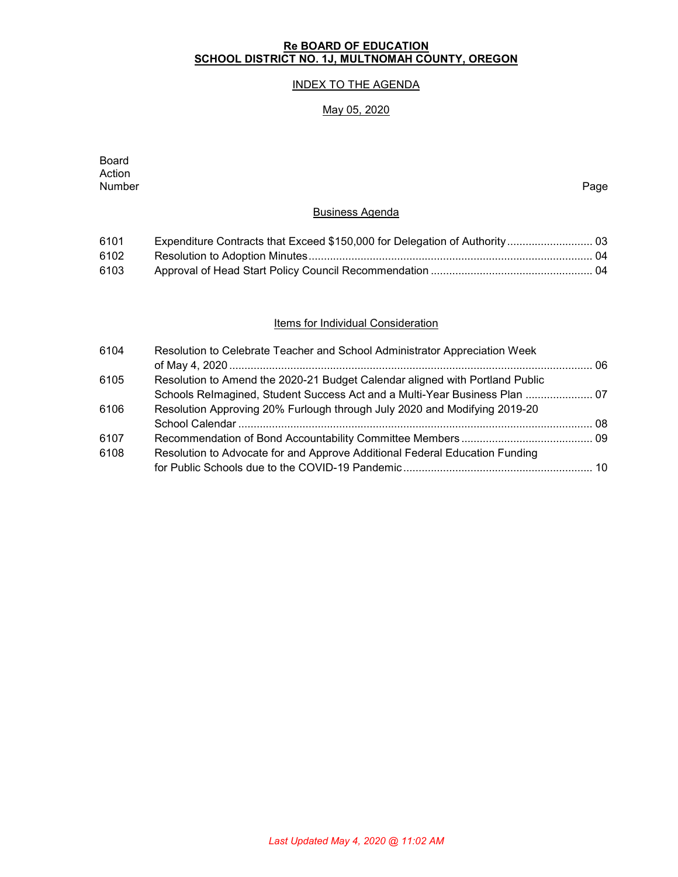# **Re BOARD OF EDUCATION SCHOOL DISTRICT NO. 1J, MULTNOMAH COUNTY, OREGON**

# INDEX TO THE AGENDA

# May 05, 2020

| <b>Board</b><br>Action |                                                                            |      |
|------------------------|----------------------------------------------------------------------------|------|
| Number                 |                                                                            | Page |
|                        | <b>Business Agenda</b>                                                     |      |
| 6101                   | Expenditure Contracts that Exceed \$150,000 for Delegation of Authority 03 |      |
| 6102                   |                                                                            |      |
| 6103                   |                                                                            |      |
|                        |                                                                            |      |
|                        |                                                                            |      |

## **Items for Individual Consideration**

| 6104 | Resolution to Celebrate Teacher and School Administrator Appreciation Week   |  |
|------|------------------------------------------------------------------------------|--|
|      |                                                                              |  |
| 6105 | Resolution to Amend the 2020-21 Budget Calendar aligned with Portland Public |  |
|      | Schools Relmagined, Student Success Act and a Multi-Year Business Plan  07   |  |
| 6106 | Resolution Approving 20% Furlough through July 2020 and Modifying 2019-20    |  |
|      |                                                                              |  |
| 6107 |                                                                              |  |
| 6108 | Resolution to Advocate for and Approve Additional Federal Education Funding  |  |
|      |                                                                              |  |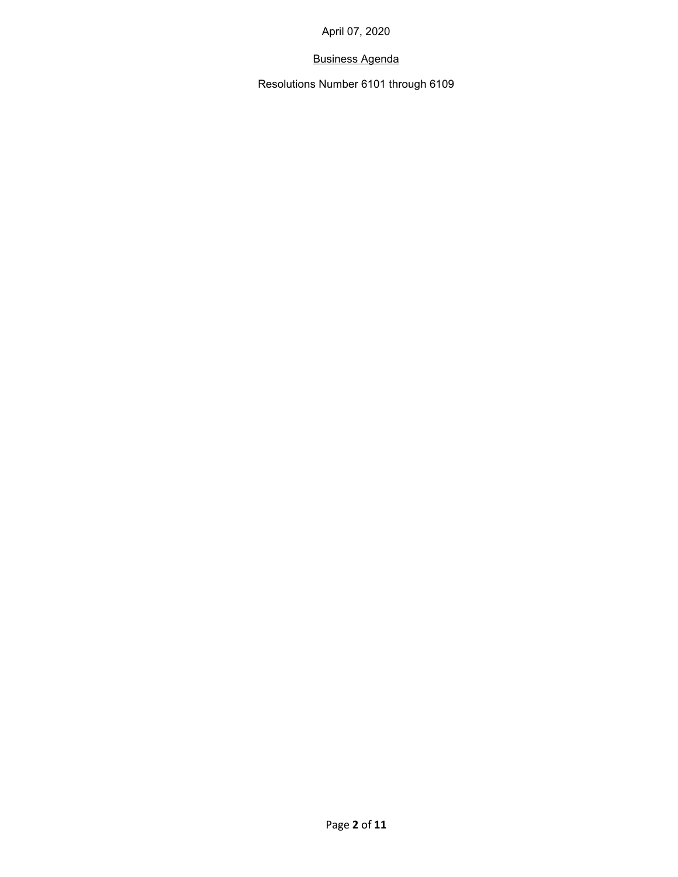# Business Agenda

Resolutions Number 6101 through 6109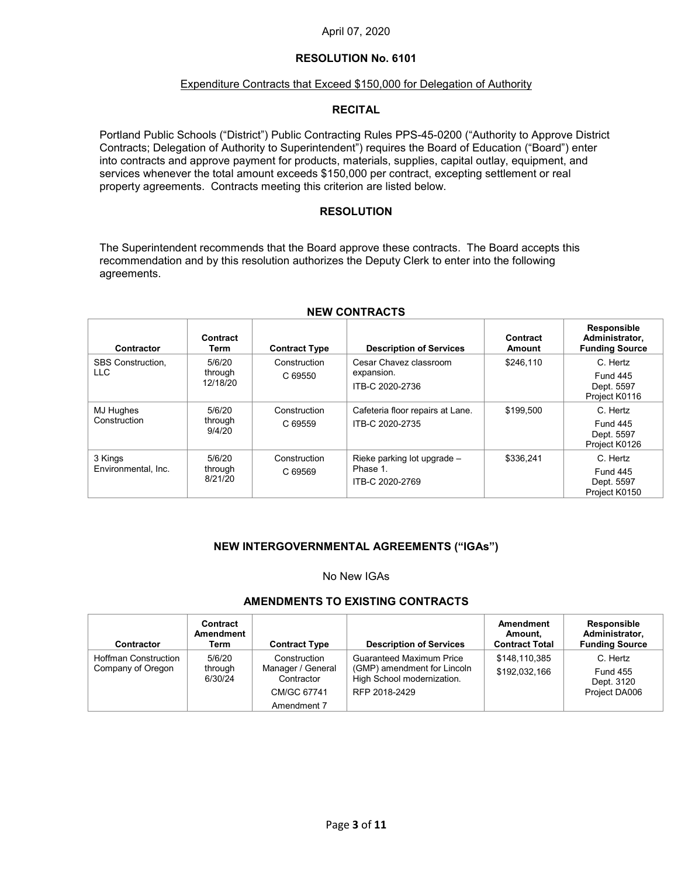## **RESOLUTION No. 6101**

### Expenditure Contracts that Exceed \$150,000 for Delegation of Authority

## **RECITAL**

Portland Public Schools ("District") Public Contracting Rules PPS-45-0200 ("Authority to Approve District Contracts; Delegation of Authority to Superintendent") requires the Board of Education ("Board") enter into contracts and approve payment for products, materials, supplies, capital outlay, equipment, and services whenever the total amount exceeds \$150,000 per contract, excepting settlement or real property agreements. Contracts meeting this criterion are listed below.

### **RESOLUTION**

The Superintendent recommends that the Board approve these contracts. The Board accepts this recommendation and by this resolution authorizes the Deputy Clerk to enter into the following agreements.

| Contractor                       | Contract<br>Term              | <b>Contract Type</b>    | <b>Description of Services</b>                               | Contract<br>Amount | <b>Responsible</b><br>Administrator,<br><b>Funding Source</b> |
|----------------------------------|-------------------------------|-------------------------|--------------------------------------------------------------|--------------------|---------------------------------------------------------------|
| <b>SBS Construction.</b><br>LLC. | 5/6/20<br>through<br>12/18/20 | Construction<br>C 69550 | Cesar Chavez classroom<br>expansion.<br>ITB-C 2020-2736      | \$246.110          | C. Hertz<br><b>Fund 445</b><br>Dept. 5597<br>Project K0116    |
| MJ Hughes<br>Construction        | 5/6/20<br>through<br>9/4/20   | Construction<br>C 69559 | Cafeteria floor repairs at Lane.<br>ITB-C 2020-2735          | \$199.500          | C. Hertz<br><b>Fund 445</b><br>Dept. 5597<br>Project K0126    |
| 3 Kings<br>Environmental, Inc.   | 5/6/20<br>through<br>8/21/20  | Construction<br>C 69569 | Rieke parking lot upgrade $-$<br>Phase 1.<br>ITB-C 2020-2769 | \$336.241          | C. Hertz<br><b>Fund 445</b><br>Dept. 5597<br>Project K0150    |

### **NEW CONTRACTS**

## **NEW INTERGOVERNMENTAL AGREEMENTS ("IGAs")**

### No New IGAs

## **AMENDMENTS TO EXISTING CONTRACTS**

| <b>Contractor</b>                                | Contract<br>Amendment<br>Term | <b>Contract Type</b>                                                          | <b>Description of Services</b>                                                                         | Amendment<br>Amount,<br><b>Contract Total</b> | <b>Responsible</b><br>Administrator,<br><b>Funding Source</b> |
|--------------------------------------------------|-------------------------------|-------------------------------------------------------------------------------|--------------------------------------------------------------------------------------------------------|-----------------------------------------------|---------------------------------------------------------------|
| <b>Hoffman Construction</b><br>Company of Oregon | 5/6/20<br>through<br>6/30/24  | Construction<br>Manager / General<br>Contractor<br>CM/GC 67741<br>Amendment 7 | Guaranteed Maximum Price<br>(GMP) amendment for Lincoln<br>High School modernization.<br>RFP 2018-2429 | \$148,110,385<br>\$192,032,166                | C. Hertz<br><b>Fund 455</b><br>Dept. 3120<br>Project DA006    |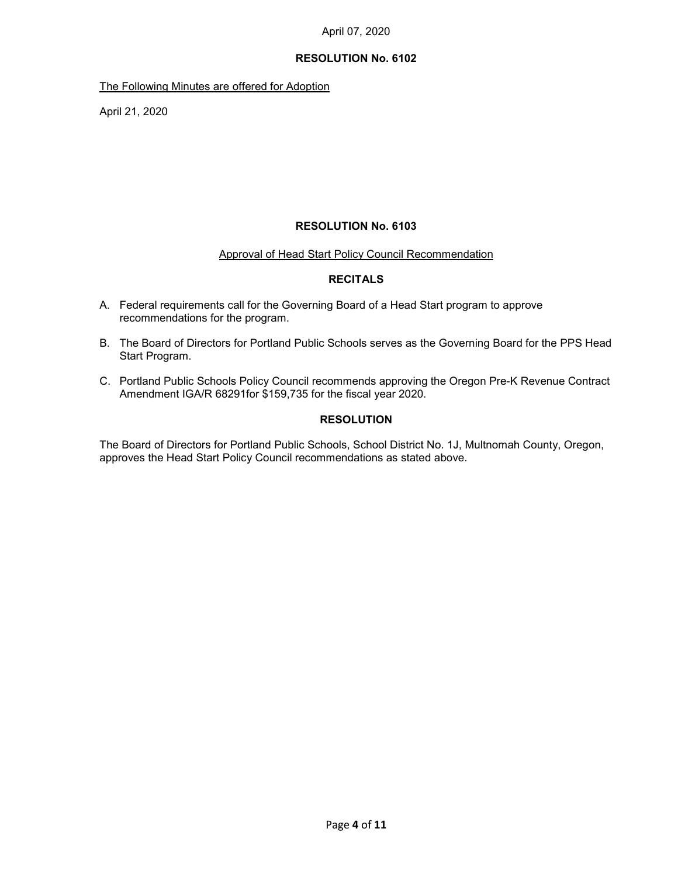## **RESOLUTION No. 6102**

The Following Minutes are offered for Adoption

April 21, 2020

## **RESOLUTION No. 6103**

### Approval of Head Start Policy Council Recommendation

## **RECITALS**

- A. Federal requirements call for the Governing Board of a Head Start program to approve recommendations for the program.
- B. The Board of Directors for Portland Public Schools serves as the Governing Board for the PPS Head Start Program.
- C. Portland Public Schools Policy Council recommends approving the Oregon Pre-K Revenue Contract Amendment IGA/R 68291for \$159,735 for the fiscal year 2020.

## **RESOLUTION**

The Board of Directors for Portland Public Schools, School District No. 1J, Multnomah County, Oregon, approves the Head Start Policy Council recommendations as stated above.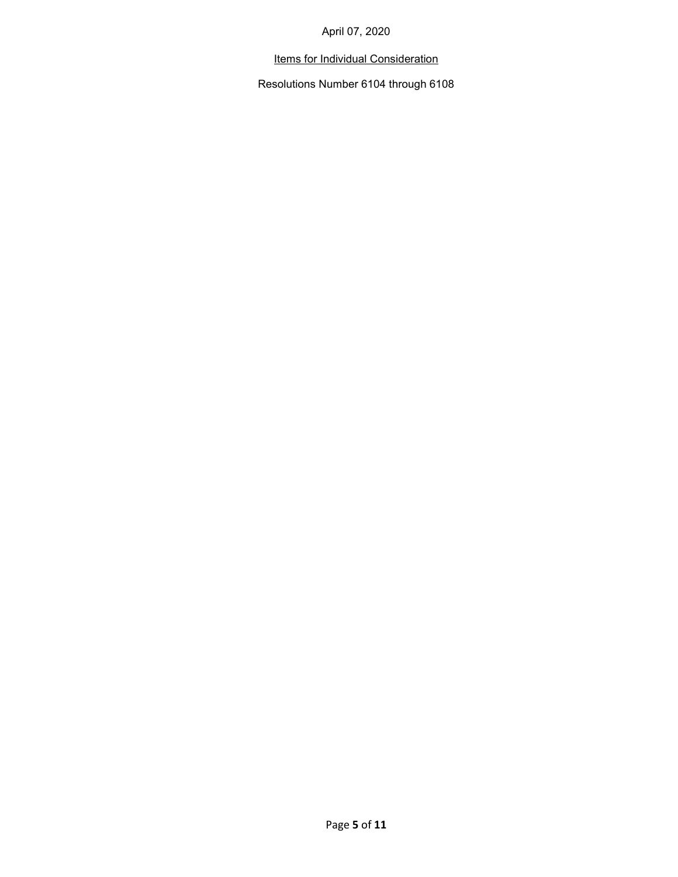# Items for Individual Consideration

Resolutions Number 6104 through 6108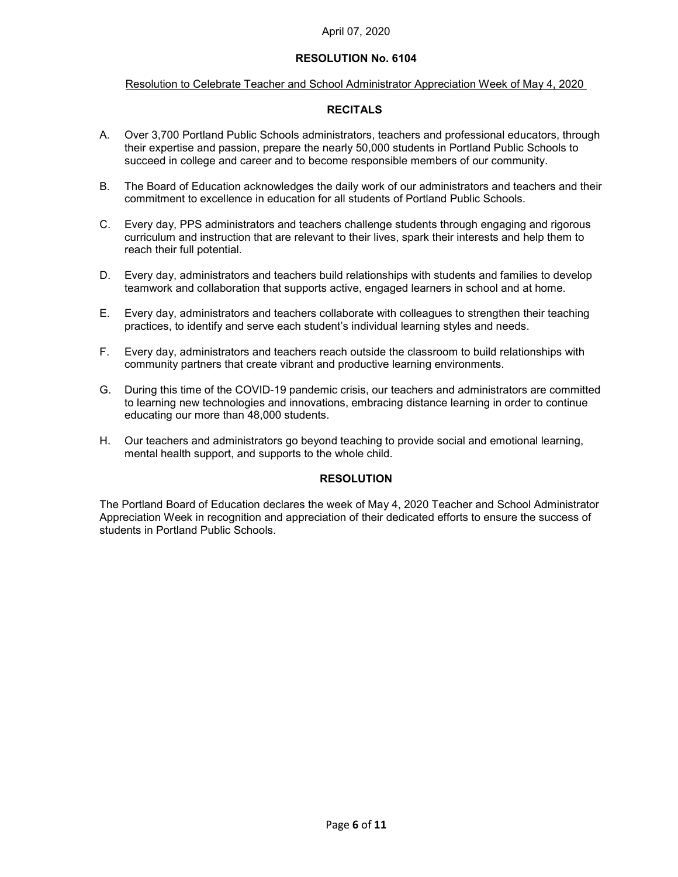### Resolution to Celebrate Teacher and School Administrator Appreciation Week of May 4, 2020

## **RECITALS**

- A. Over 3,700 Portland Public Schools administrators, teachers and professional educators, through their expertise and passion, prepare the nearly 50,000 students in Portland Public Schools to succeed in college and career and to become responsible members of our community.
- B. The Board of Education acknowledges the daily work of our administrators and teachers and their commitment to excellence in education for all students of Portland Public Schools.
- C. Every day, PPS administrators and teachers challenge students through engaging and rigorous curriculum and instruction that are relevant to their lives, spark their interests and help them to reach their full potential.
- D. Every day, administrators and teachers build relationships with students and families to develop teamwork and collaboration that supports active, engaged learners in school and at home.
- E. Every day, administrators and teachers collaborate with colleagues to strengthen their teaching practices, to identify and serve each student's individual learning styles and needs.
- F. Every day, administrators and teachers reach outside the classroom to build relationships with community partners that create vibrant and productive learning environments.
- G. During this time of the COVID-19 pandemic crisis, our teachers and administrators are committed to learning new technologies and innovations, embracing distance learning in order to continue educating our more than 48,000 students.
- H. Our teachers and administrators go beyond teaching to provide social and emotional learning, mental health support, and supports to the whole child.

### **RESOLUTION**

The Portland Board of Education declares the week of May 4, 2020 Teacher and School Administrator Appreciation Week in recognition and appreciation of their dedicated efforts to ensure the success of students in Portland Public Schools.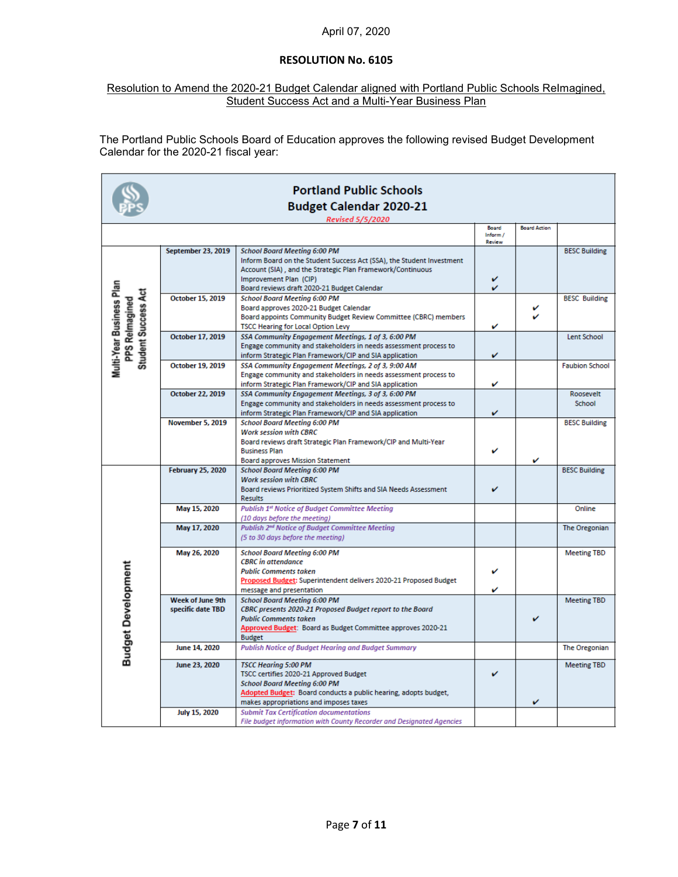## Resolution to Amend the 2020-21 Budget Calendar aligned with Portland Public Schools ReImagined, Student Success Act and a Multi-Year Business Plan

The Portland Public Schools Board of Education approves the following revised Budget Development Calendar for the 2020-21 fiscal year:

|                                                                          | <b>Portland Public Schools</b>               |                                                                                                                                                                                                                           |                   |                     |                       |  |
|--------------------------------------------------------------------------|----------------------------------------------|---------------------------------------------------------------------------------------------------------------------------------------------------------------------------------------------------------------------------|-------------------|---------------------|-----------------------|--|
|                                                                          |                                              | <b>Budget Calendar 2020-21</b>                                                                                                                                                                                            |                   |                     |                       |  |
|                                                                          |                                              | <b>Revised 5/5/2020</b>                                                                                                                                                                                                   | Board<br>Inform / | <b>Board Action</b> |                       |  |
|                                                                          | <b>September 23, 2019</b>                    | <b>School Board Meeting 6:00 PM</b><br>Inform Board on the Student Success Act (SSA), the Student Investment<br>Account (SIA), and the Strategic Plan Framework/Continuous                                                | Review            |                     | <b>BESC Building</b>  |  |
|                                                                          |                                              | Improvement Plan (CIP)<br>Board reviews draft 2020-21 Budget Calendar                                                                                                                                                     | v<br>v            |                     |                       |  |
| Multi-Year Business Plan<br><b>Student Success Act</b><br>PPS Relmagined | October 15, 2019                             | <b>School Board Meeting 6:00 PM</b><br>Board approves 2020-21 Budget Calendar<br>Board appoints Community Budget Review Committee (CBRC) members<br><b>TSCC Hearing for Local Option Levy</b>                             | v                 | ✓                   | <b>BESC Building</b>  |  |
|                                                                          | October 17, 2019                             | SSA Community Engagement Meetings, 1 of 3, 6:00 PM<br>Engage community and stakeholders in needs assessment process to<br>inform Strategic Plan Framework/CIP and SIA application                                         | v                 |                     | <b>Lent School</b>    |  |
|                                                                          | October 19, 2019                             | SSA Community Engagement Meetings, 2 of 3, 9:00 AM<br>Engage community and stakeholders in needs assessment process to<br>inform Strategic Plan Framework/CIP and SIA application                                         | v                 |                     | <b>Faubion School</b> |  |
|                                                                          | <b>October 22, 2019</b>                      | SSA Community Engagement Meetings, 3 of 3, 6:00 PM<br>Engage community and stakeholders in needs assessment process to<br>inform Strategic Plan Framework/CIP and SIA application                                         | v                 |                     | Roosevelt<br>School   |  |
|                                                                          | November 5, 2019                             | <b>School Board Meeting 6:00 PM</b><br><b>Work session with CBRC</b><br>Board reviews draft Strategic Plan Framework/CIP and Multi-Year<br><b>Business Plan</b><br><b>Board approves Mission Statement</b>                | v                 | v                   | <b>BESC Building</b>  |  |
|                                                                          | <b>February 25, 2020</b>                     | <b>School Board Meeting 6:00 PM</b><br><b>Work session with CBRC</b><br>Board reviews Prioritized System Shifts and SIA Needs Assessment<br><b>Results</b>                                                                | ✓                 |                     | <b>BESC Building</b>  |  |
|                                                                          | May 15, 2020                                 | <b>Publish 1st Notice of Budget Committee Meeting</b><br>(10 days before the meeting)                                                                                                                                     |                   |                     | Online                |  |
|                                                                          | May 17, 2020                                 | Publish 2 <sup>nd</sup> Notice of Budget Committee Meeting<br>(5 to 30 days before the meeting)                                                                                                                           |                   |                     | The Oregonian         |  |
|                                                                          | May 26, 2020                                 | <b>School Board Meeting 6:00 PM</b><br><b>CBRC</b> in attendance<br><b>Public Comments taken</b><br>Proposed Budget: Superintendent delivers 2020-21 Proposed Budget<br>message and presentation                          | v<br>v            |                     | <b>Meeting TBD</b>    |  |
| <b>Budget Development</b>                                                | <b>Week of June 9th</b><br>specific date TBD | <b>School Board Meeting 6:00 PM</b><br>CBRC presents 2020-21 Proposed Budget report to the Board<br><b>Public Comments taken</b><br>Approved Budget: Board as Budget Committee approves 2020-21<br><b>Budget</b>          |                   |                     | <b>Meeting TBD</b>    |  |
|                                                                          | June 14, 2020                                | <b>Publish Notice of Budget Hearing and Budget Summary</b>                                                                                                                                                                |                   |                     | The Oregonian         |  |
|                                                                          | June 23, 2020                                | <b>TSCC Hearing 5:00 PM</b><br>TSCC certifies 2020-21 Approved Budget<br><b>School Board Meeting 6:00 PM</b><br>Adopted Budget: Board conducts a public hearing, adopts budget,<br>makes appropriations and imposes taxes | v                 | v                   | <b>Meeting TBD</b>    |  |
|                                                                          | July 15, 2020                                | <b>Submit Tax Certification documentations</b><br>File budget information with County Recorder and Designated Agencies                                                                                                    |                   |                     |                       |  |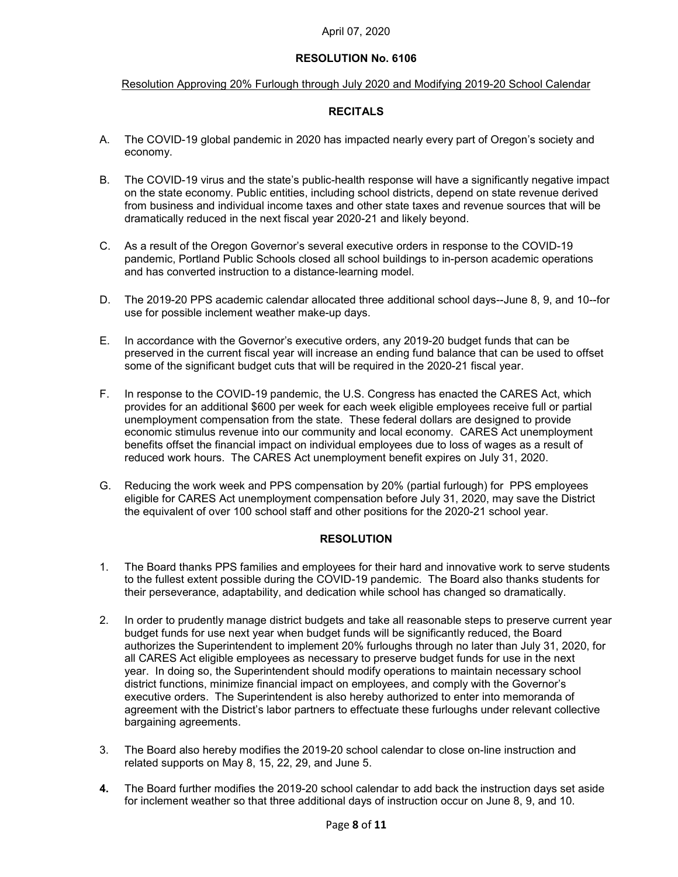### Resolution Approving 20% Furlough through July 2020 and Modifying 2019-20 School Calendar

### **RECITALS**

- A. The COVID-19 global pandemic in 2020 has impacted nearly every part of Oregon's society and economy.
- B. The COVID-19 virus and the state's public-health response will have a significantly negative impact on the state economy. Public entities, including school districts, depend on state revenue derived from business and individual income taxes and other state taxes and revenue sources that will be dramatically reduced in the next fiscal year 2020-21 and likely beyond.
- C. As a result of the Oregon Governor's several executive orders in response to the COVID-19 pandemic, Portland Public Schools closed all school buildings to in-person academic operations and has converted instruction to a distance-learning model.
- D. The 2019-20 PPS academic calendar allocated three additional school days--June 8, 9, and 10--for use for possible inclement weather make-up days.
- E. In accordance with the Governor's executive orders, any 2019-20 budget funds that can be preserved in the current fiscal year will increase an ending fund balance that can be used to offset some of the significant budget cuts that will be required in the 2020-21 fiscal year.
- F. In response to the COVID-19 pandemic, the U.S. Congress has enacted the CARES Act, which provides for an additional \$600 per week for each week eligible employees receive full or partial unemployment compensation from the state. These federal dollars are designed to provide economic stimulus revenue into our community and local economy. CARES Act unemployment benefits offset the financial impact on individual employees due to loss of wages as a result of reduced work hours. The CARES Act unemployment benefit expires on July 31, 2020.
- G. Reducing the work week and PPS compensation by 20% (partial furlough) for PPS employees eligible for CARES Act unemployment compensation before July 31, 2020, may save the District the equivalent of over 100 school staff and other positions for the 2020-21 school year.

### **RESOLUTION**

- 1. The Board thanks PPS families and employees for their hard and innovative work to serve students to the fullest extent possible during the COVID-19 pandemic. The Board also thanks students for their perseverance, adaptability, and dedication while school has changed so dramatically.
- 2. In order to prudently manage district budgets and take all reasonable steps to preserve current year budget funds for use next year when budget funds will be significantly reduced, the Board authorizes the Superintendent to implement 20% furloughs through no later than July 31, 2020, for all CARES Act eligible employees as necessary to preserve budget funds for use in the next year. In doing so, the Superintendent should modify operations to maintain necessary school district functions, minimize financial impact on employees, and comply with the Governor's executive orders. The Superintendent is also hereby authorized to enter into memoranda of agreement with the District's labor partners to effectuate these furloughs under relevant collective bargaining agreements.
- 3. The Board also hereby modifies the 2019-20 school calendar to close on-line instruction and related supports on May 8, 15, 22, 29, and June 5.
- **4.** The Board further modifies the 2019-20 school calendar to add back the instruction days set aside for inclement weather so that three additional days of instruction occur on June 8, 9, and 10.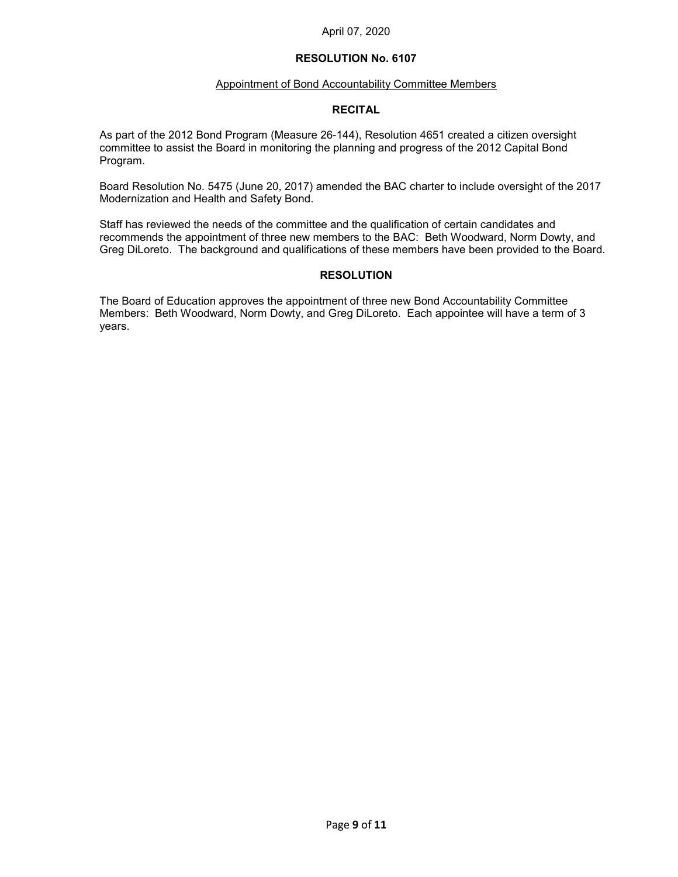### Appointment of Bond Accountability Committee Members

### **RECITAL**

As part of the 2012 Bond Program (Measure 26-144), Resolution 4651 created a citizen oversight committee to assist the Board in monitoring the planning and progress of the 2012 Capital Bond Program.

Board Resolution No. 5475 (June 20, 2017) amended the BAC charter to include oversight of the 2017 Modernization and Health and Safety Bond.

Staff has reviewed the needs of the committee and the qualification of certain candidates and recommends the appointment of three new members to the BAC: Beth Woodward, Norm Dowty, and Greg DiLoreto. The background and qualifications of these members have been provided to the Board.

### **RESOLUTION**

The Board of Education approves the appointment of three new Bond Accountability Committee Members: Beth Woodward, Norm Dowty, and Greg DiLoreto. Each appointee will have a term of 3 years.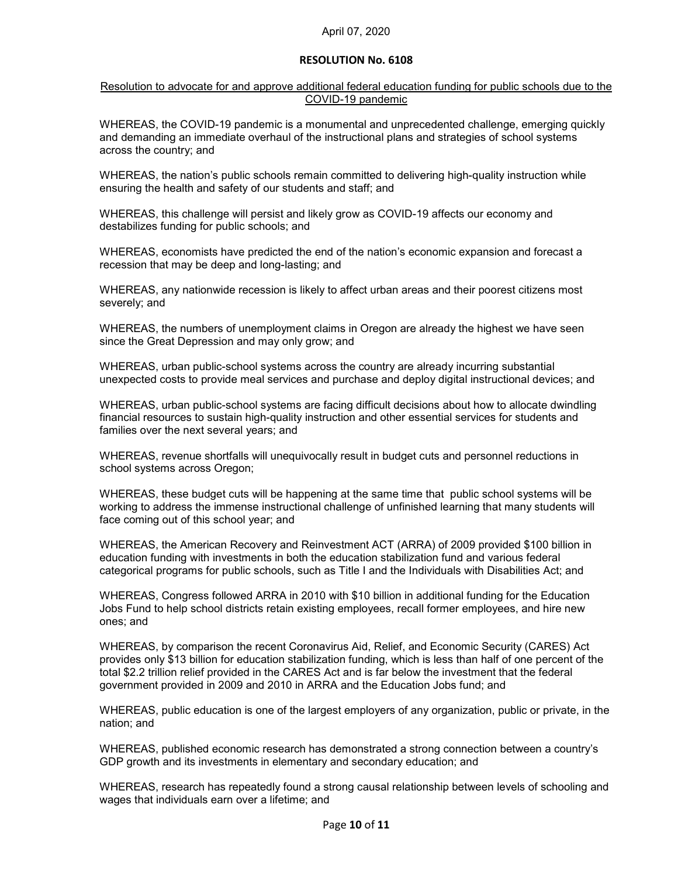### Resolution to advocate for and approve additional federal education funding for public schools due to the COVID-19 pandemic

WHEREAS, the COVID-19 pandemic is a monumental and unprecedented challenge, emerging quickly and demanding an immediate overhaul of the instructional plans and strategies of school systems across the country; and

WHEREAS, the nation's public schools remain committed to delivering high-quality instruction while ensuring the health and safety of our students and staff; and

WHEREAS, this challenge will persist and likely grow as COVID-19 affects our economy and destabilizes funding for public schools; and

WHEREAS, economists have predicted the end of the nation's economic expansion and forecast a recession that may be deep and long-lasting; and

WHEREAS, any nationwide recession is likely to affect urban areas and their poorest citizens most severely; and

WHEREAS, the numbers of unemployment claims in Oregon are already the highest we have seen since the Great Depression and may only grow; and

WHEREAS, urban public-school systems across the country are already incurring substantial unexpected costs to provide meal services and purchase and deploy digital instructional devices; and

WHEREAS, urban public-school systems are facing difficult decisions about how to allocate dwindling financial resources to sustain high-quality instruction and other essential services for students and families over the next several years; and

WHEREAS, revenue shortfalls will unequivocally result in budget cuts and personnel reductions in school systems across Oregon;

WHEREAS, these budget cuts will be happening at the same time that public school systems will be working to address the immense instructional challenge of unfinished learning that many students will face coming out of this school year; and

WHEREAS, the American Recovery and Reinvestment ACT (ARRA) of 2009 provided \$100 billion in education funding with investments in both the education stabilization fund and various federal categorical programs for public schools, such as Title I and the Individuals with Disabilities Act; and

WHEREAS, Congress followed ARRA in 2010 with \$10 billion in additional funding for the Education Jobs Fund to help school districts retain existing employees, recall former employees, and hire new ones; and

WHEREAS, by comparison the recent Coronavirus Aid, Relief, and Economic Security (CARES) Act provides only \$13 billion for education stabilization funding, which is less than half of one percent of the total \$2.2 trillion relief provided in the CARES Act and is far below the investment that the federal government provided in 2009 and 2010 in ARRA and the Education Jobs fund; and

WHEREAS, public education is one of the largest employers of any organization, public or private, in the nation; and

WHEREAS, published economic research has demonstrated a strong connection between a country's GDP growth and its investments in elementary and secondary education; and

WHEREAS, research has repeatedly found a strong causal relationship between levels of schooling and wages that individuals earn over a lifetime; and